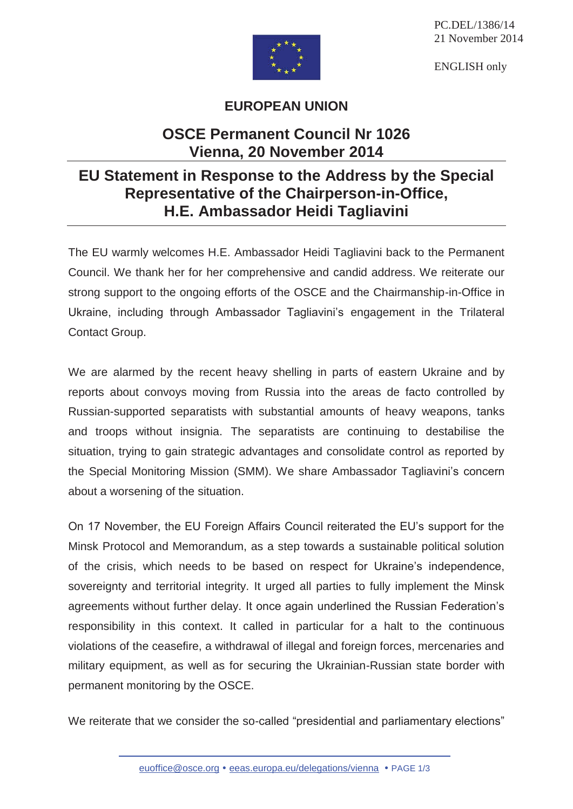

ENGLISH only



## **EUROPEAN UNION**

## **OSCE Permanent Council Nr 1026 Vienna, 20 November 2014**

## **EU Statement in Response to the Address by the Special Representative of the Chairperson-in-Office, H.E. Ambassador Heidi Tagliavini**

The EU warmly welcomes H.E. Ambassador Heidi Tagliavini back to the Permanent Council. We thank her for her comprehensive and candid address. We reiterate our strong support to the ongoing efforts of the OSCE and the Chairmanship-in-Office in Ukraine, including through Ambassador Tagliavini's engagement in the Trilateral Contact Group.

We are alarmed by the recent heavy shelling in parts of eastern Ukraine and by reports about convoys moving from Russia into the areas de facto controlled by Russian-supported separatists with substantial amounts of heavy weapons, tanks and troops without insignia. The separatists are continuing to destabilise the situation, trying to gain strategic advantages and consolidate control as reported by the Special Monitoring Mission (SMM). We share Ambassador Tagliavini's concern about a worsening of the situation.

On 17 November, the EU Foreign Affairs Council reiterated the EU's support for the Minsk Protocol and Memorandum, as a step towards a sustainable political solution of the crisis, which needs to be based on respect for Ukraine's independence, sovereignty and territorial integrity. It urged all parties to fully implement the Minsk agreements without further delay. It once again underlined the Russian Federation's responsibility in this context. It called in particular for a halt to the continuous violations of the ceasefire, a withdrawal of illegal and foreign forces, mercenaries and military equipment, as well as for securing the Ukrainian-Russian state border with permanent monitoring by the OSCE.

We reiterate that we consider the so-called "presidential and parliamentary elections"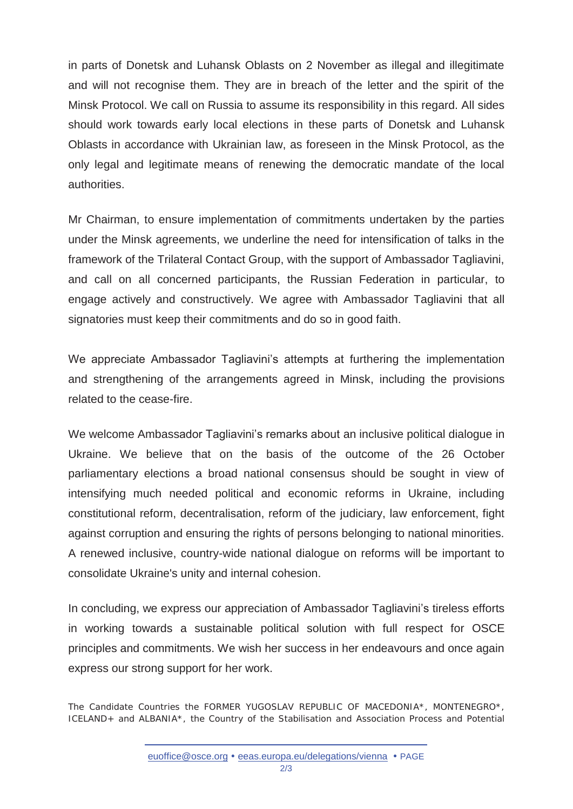in parts of Donetsk and Luhansk Oblasts on 2 November as illegal and illegitimate and will not recognise them. They are in breach of the letter and the spirit of the Minsk Protocol. We call on Russia to assume its responsibility in this regard. All sides should work towards early local elections in these parts of Donetsk and Luhansk Oblasts in accordance with Ukrainian law, as foreseen in the Minsk Protocol, as the only legal and legitimate means of renewing the democratic mandate of the local authorities.

Mr Chairman, to ensure implementation of commitments undertaken by the parties under the Minsk agreements, we underline the need for intensification of talks in the framework of the Trilateral Contact Group, with the support of Ambassador Tagliavini, and call on all concerned participants, the Russian Federation in particular, to engage actively and constructively. We agree with Ambassador Tagliavini that all signatories must keep their commitments and do so in good faith.

We appreciate Ambassador Tagliavini's attempts at furthering the implementation and strengthening of the arrangements agreed in Minsk, including the provisions related to the cease-fire.

We welcome Ambassador Tagliavini's remarks about an inclusive political dialogue in Ukraine. We believe that on the basis of the outcome of the 26 October parliamentary elections a broad national consensus should be sought in view of intensifying much needed political and economic reforms in Ukraine, including constitutional reform, decentralisation, reform of the judiciary, law enforcement, fight against corruption and ensuring the rights of persons belonging to national minorities. A renewed inclusive, country-wide national dialogue on reforms will be important to consolidate Ukraine's unity and internal cohesion.

In concluding, we express our appreciation of Ambassador Tagliavini's tireless efforts in working towards a sustainable political solution with full respect for OSCE principles and commitments. We wish her success in her endeavours and once again express our strong support for her work.

The Candidate Countries the FORMER YUGOSLAV REPUBLIC OF MACEDONIA\*, MONTENEGRO\*, ICELAND+ and ALBANIA\*, the Country of the Stabilisation and Association Process and Potential